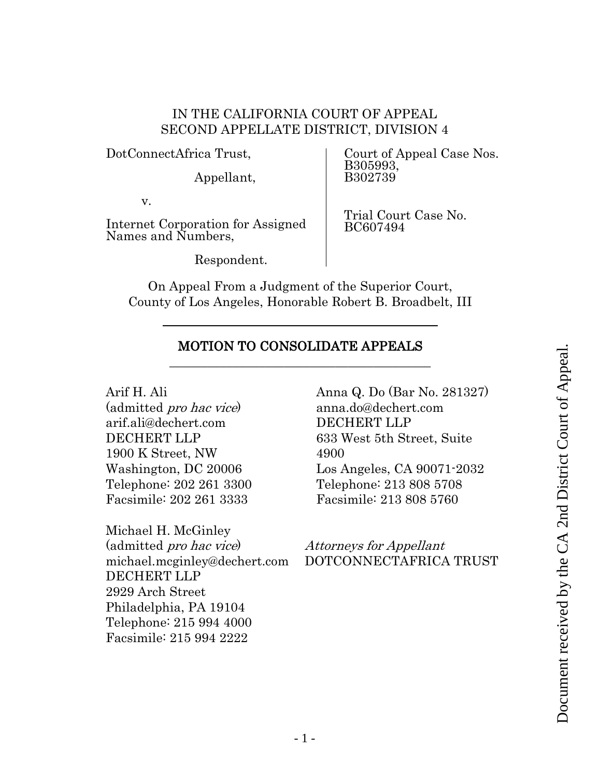## IN THE CALIFORNIA COURT OF APPEAL SECOND APPELLATE DISTRICT, DIVISION 4

DotConnectAfrica Trust,

Appellant,

v.

Internet Corporation for Assigned Names and Numbers,

Respondent.

Court of Appeal Case Nos. B305993, B302739

Trial Court Case No. BC607494

On Appeal From a Judgment of the Superior Court, County of Los Angeles, Honorable Robert B. Broadbelt, III

## MOTION TO CONSOLIDATE APPEALS \_\_\_\_\_\_\_\_\_\_\_\_\_\_\_\_\_\_\_\_\_\_\_\_\_\_\_\_\_\_\_\_\_\_\_\_\_\_\_\_\_

Arif H. Ali (admitted pro hac vice) arif.ali@dechert.com DECHERT LLP 1900 K Street, NW Washington, DC 20006 Telephone: 202 261 3300

Facsimile: 202 261 3333

Michael H. McGinley (admitted pro hac vice) michael.mcginley@dechert.com DECHERT LLP 2929 Arch Street Philadelphia, PA 19104 Telephone: 215 994 4000 Facsimile: 215 994 2222

Anna Q. Do (Bar No. 281327) anna.do@dechert.com DECHERT LLP 633 West 5th Street, Suite 4900 Los Angeles, CA 90071-2032 Telephone: 213 808 5708 Facsimile: 213 808 5760

Attorneys for Appellant DOTCONNECTAFRICA TRUST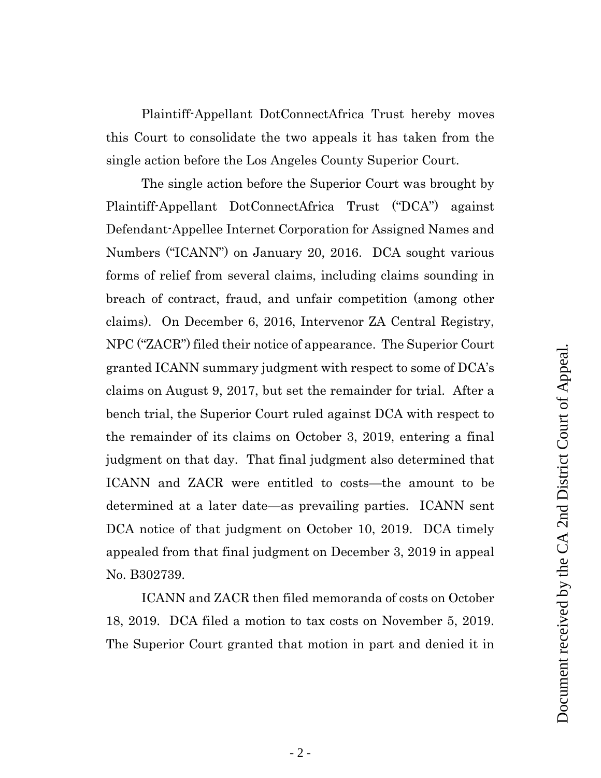Plaintiff-Appellant DotConnectAfrica Trust hereby moves this Court to consolidate the two appeals it has taken from the single action before the Los Angeles County Superior Court.

The single action before the Superior Court was brought by Plaintiff-Appellant DotConnectAfrica Trust ("DCA") against Defendant-Appellee Internet Corporation for Assigned Names and Numbers ("ICANN") on January 20, 2016. DCA sought various forms of relief from several claims, including claims sounding in breach of contract, fraud, and unfair competition (among other claims). On December 6, 2016, Intervenor ZA Central Registry, NPC ("ZACR") filed their notice of appearance. The Superior Court granted ICANN summary judgment with respect to some of DCA's claims on August 9, 2017, but set the remainder for trial. After a bench trial, the Superior Court ruled against DCA with respect to the remainder of its claims on October 3, 2019, entering a final judgment on that day. That final judgment also determined that ICANN and ZACR were entitled to costs—the amount to be determined at a later date—as prevailing parties. ICANN sent DCA notice of that judgment on October 10, 2019. DCA timely appealed from that final judgment on December 3, 2019 in appeal No. B302739.

ICANN and ZACR then filed memoranda of costs on October 18, 2019. DCA filed a motion to tax costs on November 5, 2019. The Superior Court granted that motion in part and denied it in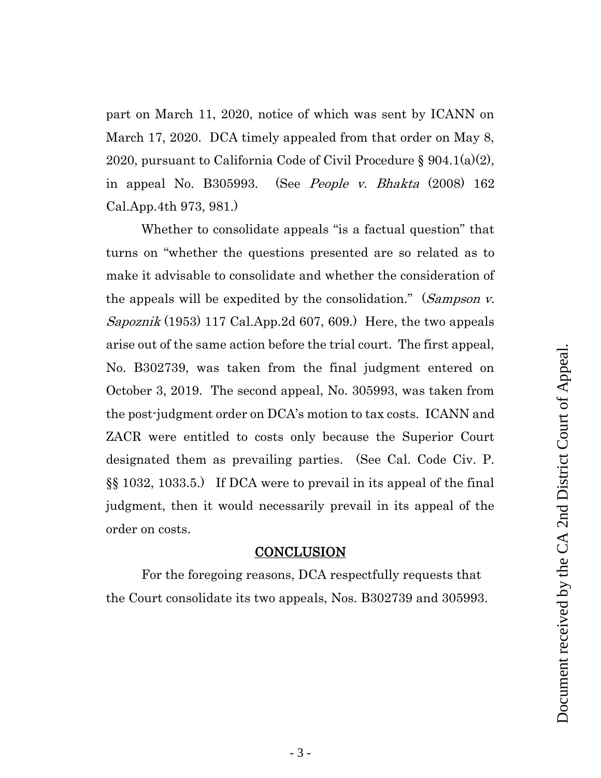part on March 11, 2020, notice of which was sent by ICANN on March 17, 2020. DCA timely appealed from that order on May 8, 2020, pursuant to California Code of Civil Procedure § 904.1(a)(2), in appeal No. B305993. (See *People v. Bhakta* (2008) 162 Cal.App.4th 973, 981.)

Whether to consolidate appeals "is a factual question" that turns on "whether the questions presented are so related as to make it advisable to consolidate and whether the consideration of the appeals will be expedited by the consolidation." (Sampson v. Sapoznik (1953) 117 Cal.App.2d 607, 609.) Here, the two appeals arise out of the same action before the trial court. The first appeal, No. B302739, was taken from the final judgment entered on October 3, 2019. The second appeal, No. 305993, was taken from the post-judgment order on DCA's motion to tax costs. ICANN and ZACR were entitled to costs only because the Superior Court designated them as prevailing parties. (See Cal. Code Civ. P. §§ 1032, 1033.5.) If DCA were to prevail in its appeal of the final judgment, then it would necessarily prevail in its appeal of the order on costs.

## **CONCLUSION**

For the foregoing reasons, DCA respectfully requests that the Court consolidate its two appeals, Nos. B302739 and 305993.